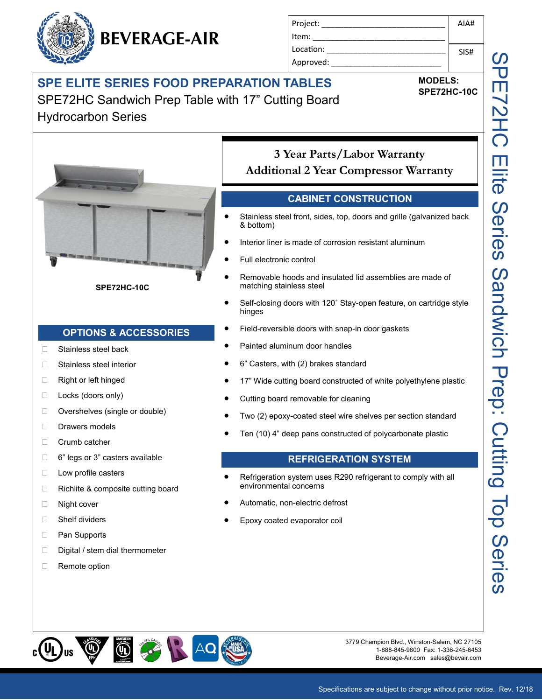## **SPE ELITE SERIES FOOD PREPARATION TABLES**

**BEVERAGE-AIR**

SPE72HC Sandwich Prep Table with 17" Cutting Board Hydrocarbon Series



**SPE72HC-10C**

#### **OPTIONS & ACCESSORIES**

- □ Stainless steel back
- □ Stainless steel interior
- □ Right or left hinged
- □ Locks (doors only)
- □ Overshelves (single or double)
- Drawers models
- Crumb catcher
- □ 6" legs or 3" casters available
- □ Low profile casters
- $\Box$  Richlite & composite cutting board
- □ Night cover
- □ Shelf dividers
- □ Pan Supports
- $\Box$  Digital / stem dial thermometer
- □ Remote option

Project: \_\_\_\_\_\_\_\_\_\_\_\_\_\_\_\_\_\_\_\_\_\_\_\_\_\_\_\_ Item: Location:

## **3 Year Parts/Labor Warranty Additional 2 Year Compressor Warranty**

#### **CABINET CONSTRUCTION**

- Stainless steel front, sides, top, doors and grille (galvanized back & bottom)
- Interior liner is made of corrosion resistant aluminum
- Full electronic control
- Removable hoods and insulated lid assemblies are made of matching stainless steel
- Self-closing doors with 120˚ Stay-open feature, on cartridge style hinges
- Field-reversible doors with snap-in door gaskets
- Painted aluminum door handles
- 6" Casters, with (2) brakes standard
- 17" Wide cutting board constructed of white polyethylene plastic
- Cutting board removable for cleaning
- Two (2) epoxy-coated steel wire shelves per section standard
- Ten (10) 4" deep pans constructed of polycarbonate plastic

#### **REFRIGERATION SYSTEM**

- Refrigeration system uses R290 refrigerant to comply with all environmental concerns
- Automatic, non-electric defrost
- Epoxy coated evaporator coil



3779 Champion Blvd., Winston-Salem, NC 27105 1-888-845-9800 Fax: 1-336-245-6453 Beverage-Air.com sales@bevair.com





SIS#

**MODELS: SPE72HC-10C**